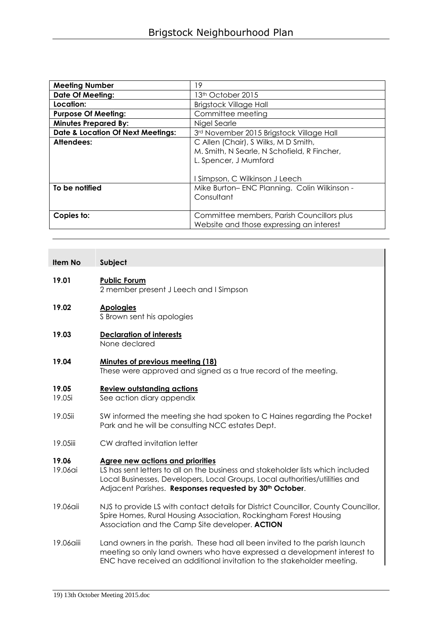| <b>Meeting Number</b>                        | 19                                          |
|----------------------------------------------|---------------------------------------------|
| <b>Date Of Meeting:</b>                      | 13 <sup>th</sup> October 2015               |
| Location:                                    | <b>Brigstock Village Hall</b>               |
| <b>Purpose Of Meeting:</b>                   | Committee meeting                           |
| <b>Minutes Prepared By:</b>                  | Nigel Searle                                |
| <b>Date &amp; Location Of Next Meetings:</b> | 3rd November 2015 Brigstock Village Hall    |
| Attendees:                                   | C Allen (Chair), S Wilks, M D Smith,        |
|                                              | M. Smith, N Searle, N Schofield, R Fincher, |
|                                              | L. Spencer, J Mumford                       |
|                                              |                                             |
|                                              | Simpson, C Wilkinson J Leech                |
| To be notified                               | Mike Burton-ENC Planning. Colin Wilkinson - |
|                                              | Consultant                                  |
|                                              |                                             |
| Copies to:                                   | Committee members, Parish Councillors plus  |
|                                              | Website and those expressing an interest    |

| ltem No | Subject |
|---------|---------|
|         |         |

#### **19.01 Public Forum**

2 member present J Leech and I Simpson

# **19.02 Apologies**

S Brown sent his apologies

**19.03 Declaration of interests** None declared

#### **19.04 Minutes of previous meeting (18)** These were approved and signed as a true record of the meeting.

# **19.05 Review outstanding actions**

19.05i See action diary appendix

- 19.05ii SW informed the meeting she had spoken to C Haines regarding the Pocket Park and he will be consulting NCC estates Dept.
- 19.05iii CW drafted invitation letter

# **19.06 Agree new actions and priorities**

- 19.06ai LS has sent letters to all on the business and stakeholder lists which included Local Businesses, Developers, Local Groups, Local authorities/utilities and Adjacent Parishes. **Responses requested by 30th October**.
- 19.06aii NJS to provide LS with contact details for District Councillor, County Councillor, Spire Homes, Rural Housing Association, Rockingham Forest Housing Association and the Camp Site developer. **ACTION**
- 19.06aiii Land owners in the parish. These had all been invited to the parish launch meeting so only land owners who have expressed a development interest to ENC have received an additional invitation to the stakeholder meeting.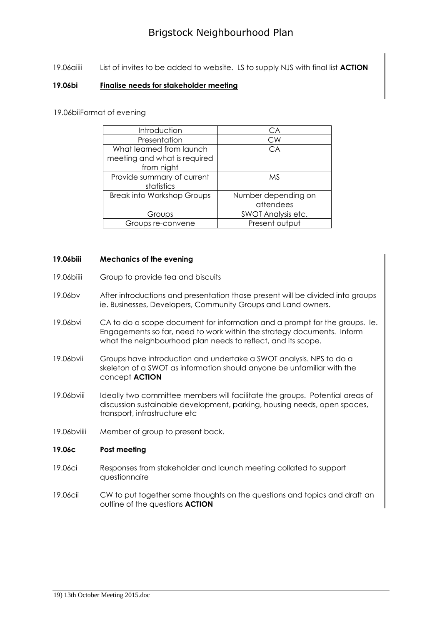19.06aiiii List of invites to be added to website. LS to supply NJS with final list **ACTION**

#### **19.06bi Finalise needs for stakeholder meeting**

19.06biiFormat of evening

| Introduction                      | CA                  |
|-----------------------------------|---------------------|
| Presentation                      | CW                  |
| What learned from launch          | CA                  |
| meeting and what is required      |                     |
| from night                        |                     |
| Provide summary of current        | <b>MS</b>           |
| statistics                        |                     |
| <b>Break into Workshop Groups</b> | Number depending on |
|                                   | attendees           |
| Groups                            | SWOT Analysis etc.  |
| Groups re-convene                 | Present output      |

#### **19.06biii Mechanics of the evening**

- 19.06biiii Group to provide tea and biscuits
- 19.06bv After introductions and presentation those present will be divided into groups ie. Businesses, Developers, Community Groups and Land owners.
- 19.06bvi CA to do a scope document for information and a prompt for the groups. Ie. Engagements so far, need to work within the strategy documents. Inform what the neighbourhood plan needs to reflect, and its scope.
- 19.06bvii Groups have introduction and undertake a SWOT analysis. NPS to do a skeleton of a SWOT as information should anyone be unfamiliar with the concept **ACTION**
- 19.06bviii Ideally two committee members will facilitate the groups. Potential areas of discussion sustainable development, parking, housing needs, open spaces, transport, infrastructure etc
- 19.06bviiii Member of group to present back.

#### **19.06c Post meeting**

- 19.06ci Responses from stakeholder and launch meeting collated to support questionnaire
- 19.06cii CW to put together some thoughts on the questions and topics and draft an outline of the questions **ACTION**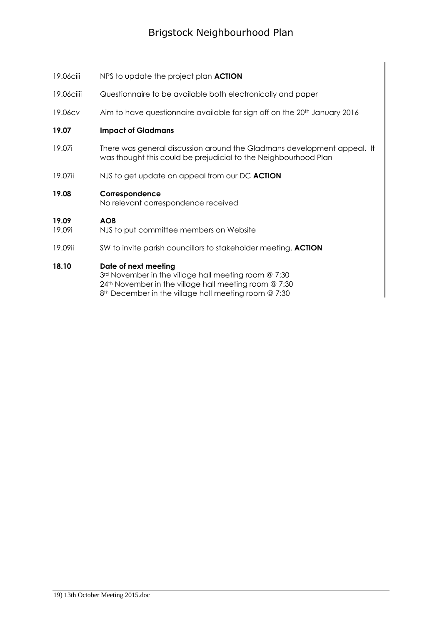- 19.06ciii NPS to update the project plan **ACTION**
- 19.06ciiii Questionnaire to be available both electronically and paper
- 19.06cv Aim to have questionnaire available for sign off on the 20<sup>th</sup> January 2016

#### **19.07 Impact of Gladmans**

- 19.07i There was general discussion around the Gladmans development appeal. It was thought this could be prejudicial to the Neighbourhood Plan
- 19.07ii NJS to get update on appeal from our DC **ACTION**

# **19.08 Correspondence**

No relevant correspondence received

#### **19.09 AOB**

- 19.09i NJS to put committee members on Website
- 19.09ii SW to invite parish councillors to stakeholder meeting. **ACTION**

#### **18.10 Date of next meeting**

3rd November in the village hall meeting room @ 7:30 24th November in the village hall meeting room @ 7:30 8<sup>th</sup> December in the village hall meeting room @ 7:30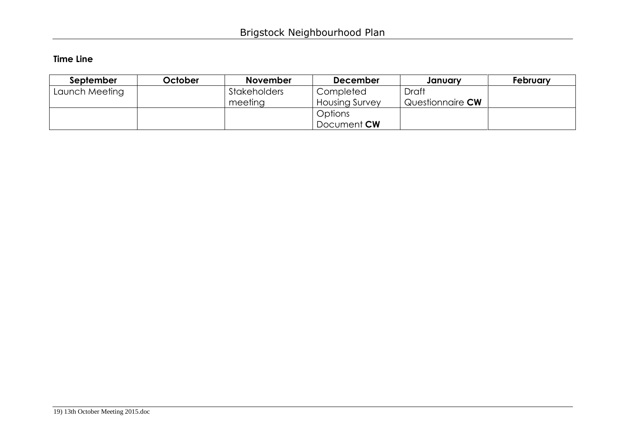# **Time Line**

| September      | October | <b>November</b>     | <b>December</b>       | January                 | February |
|----------------|---------|---------------------|-----------------------|-------------------------|----------|
| Launch Meeting |         | <b>Stakeholders</b> | Completed             | Draft                   |          |
|                |         | meeting             | <b>Housing Survey</b> | Questionnaire <b>CW</b> |          |
|                |         |                     | Options               |                         |          |
|                |         |                     | Document <b>CW</b>    |                         |          |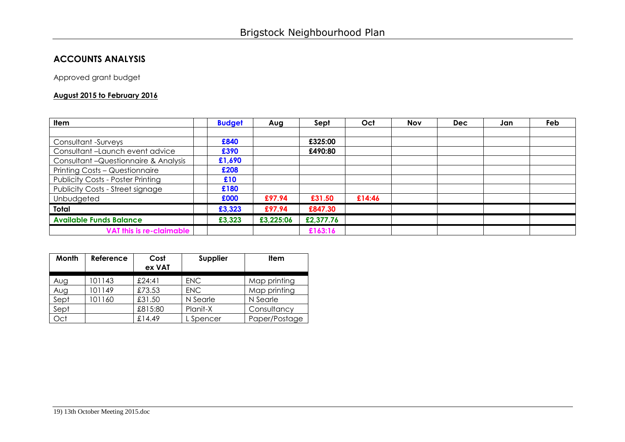# **ACCOUNTS ANALYSIS**

Approved grant budget

# **August 2015 to February 2016**

| Item                                     | <b>Budget</b> | Aug       | Sept      | Oct    | <b>Nov</b> | <b>Dec</b> | Jan | Feb |
|------------------------------------------|---------------|-----------|-----------|--------|------------|------------|-----|-----|
|                                          |               |           |           |        |            |            |     |     |
| Consultant -Surveys                      | £840          |           | £325:00   |        |            |            |     |     |
| Consultant-Launch event advice           | £390          |           | £490:80   |        |            |            |     |     |
| Consultant - Questionnaire & Analysis    | £1,690        |           |           |        |            |            |     |     |
| Printing Costs - Questionnaire           | £208          |           |           |        |            |            |     |     |
| <b>Publicity Costs - Poster Printing</b> | £10           |           |           |        |            |            |     |     |
| Publicity Costs - Street signage         | £180          |           |           |        |            |            |     |     |
| Unbudgeted                               | £000          | £97.94    | £31.50    | £14:46 |            |            |     |     |
| Total                                    | £3,323        | £97.94    | £847.30   |        |            |            |     |     |
| <b>Available Funds Balance</b>           | £3,323        | £3,225:06 | £2,377.76 |        |            |            |     |     |
| <b>VAT this is re-claimable</b>          |               |           | £163:16   |        |            |            |     |     |

| Month | Reference | Cost<br>ex VAT | Supplier   | <b>Item</b>   |
|-------|-----------|----------------|------------|---------------|
|       | 101143    | £24:41         |            | Map printing  |
| Aug   |           |                | <b>ENC</b> |               |
| Aug   | 101149    | £73.53         | <b>ENC</b> | Map printing  |
| Sept  | 101160    | £31.50         | N Searle   | N Searle      |
| Sept  |           | £815:80        | Planit-X   | Consultancy   |
| Oct   |           | £14.49         | L Spencer  | Paper/Postage |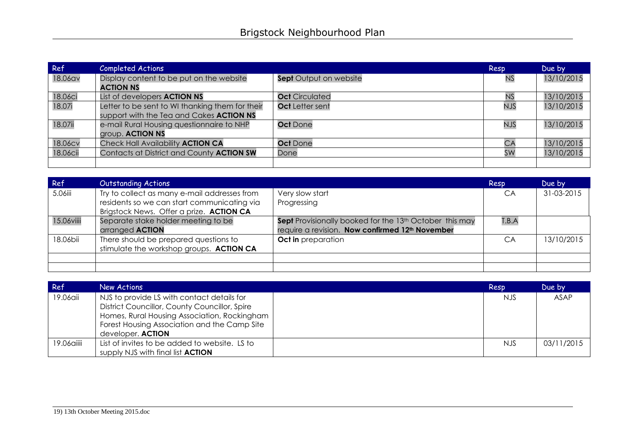| Ref      | <b>Completed Actions</b>                                                                    |                        | Resp       | Due by     |
|----------|---------------------------------------------------------------------------------------------|------------------------|------------|------------|
| 18.06av  | Display content to be put on the website<br><b>ACTION NS</b>                                | Sept Output on website | <b>NS</b>  | 13/10/2015 |
| 18.06ci  | List of developers <b>ACTION NS</b>                                                         | <b>Oct</b> Circulated  | <b>NS</b>  | 13/10/2015 |
| 18.07i   | Letter to be sent to WI thanking them for their<br>support with the Tea and Cakes ACTION NS | Oct Letter sent        | <b>NJS</b> | 13/10/2015 |
| 18.07ii  | e-mail Rural Housing questionnaire to NHP<br>group. <b>ACTION NS</b>                        | <b>Oct</b> Done        | <b>NJS</b> | 13/10/2015 |
| 18.06cv  | Check Hall Availability ACTION CA                                                           | <b>Oct</b> Done        | СA         | 13/10/2015 |
| 18.06cii | Contacts at District and County ACTION SW                                                   | Done                   | SW         | 13/10/2015 |
|          |                                                                                             |                        |            |            |

| Ref        | <b>Outstanding Actions</b>                                                                                                              |                                                                                                                                    | Resp  | Due by     |
|------------|-----------------------------------------------------------------------------------------------------------------------------------------|------------------------------------------------------------------------------------------------------------------------------------|-------|------------|
| 5.06iii    | Try to collect as many e-mail addresses from<br>residents so we can start communicating via<br>Brigstock News. Offer a prize. ACTION CA | Very slow start<br>Progressing                                                                                                     | CA    | 31-03-2015 |
| 15.06viiii | Separate stake holder meeting to be<br>arranged <b>ACTION</b>                                                                           | Sept Provisionally booked for the 13 <sup>th</sup> October this may<br>require a revision. Now confirmed 12 <sup>th</sup> November | T.B.A |            |
| 18.06bii   | There should be prepared questions to<br>stimulate the workshop groups. ACTION CA                                                       | <b>Oct in</b> preparation                                                                                                          | CA    | 13/10/2015 |
|            |                                                                                                                                         |                                                                                                                                    |       |            |
|            |                                                                                                                                         |                                                                                                                                    |       |            |

| Ref        | New Actions                                                                                                                                                                                                      | Resp       | Due by     |
|------------|------------------------------------------------------------------------------------------------------------------------------------------------------------------------------------------------------------------|------------|------------|
| 19.06aii   | NJS to provide LS with contact details for<br>District Councillor, County Councillor, Spire<br>Homes, Rural Housing Association, Rockingham<br>Forest Housing Association and the Camp Site<br>developer. ACTION | <b>NJS</b> | ASAP       |
| 19.06aiiii | List of invites to be added to website. LS to<br>supply NJS with final list <b>ACTION</b>                                                                                                                        | <b>NJS</b> | 03/11/2015 |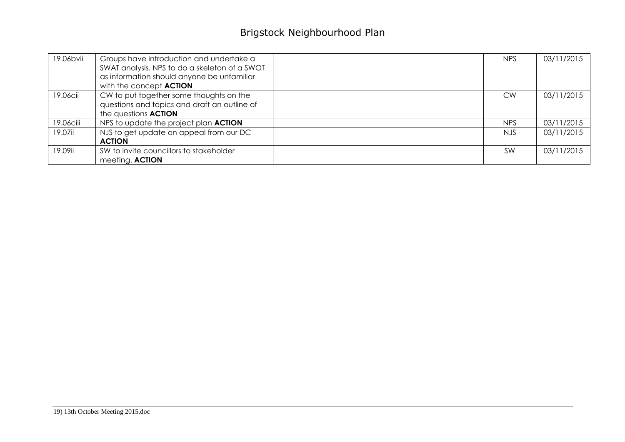| 19.06bvii | Groups have introduction and undertake a<br>SWAT analysis. NPS to do a skeleton of a SWOT<br>as information should anyone be unfamiliar<br>with the concept <b>ACTION</b> | <b>NPS</b> | 03/11/2015 |
|-----------|---------------------------------------------------------------------------------------------------------------------------------------------------------------------------|------------|------------|
| 19.06cii  | CW to put together some thoughts on the<br>questions and topics and draft an outline of<br>the questions <b>ACTION</b>                                                    | CW.        | 03/11/2015 |
| 19.06ciii | NPS to update the project plan ACTION                                                                                                                                     | <b>NPS</b> | 03/11/2015 |
| 19.07ii   | NJS to get update on appeal from our DC<br><b>ACTION</b>                                                                                                                  | NJS.       | 03/11/2015 |
| 19.09ii   | SW to invite councillors to stakeholder<br>meeting. ACTION                                                                                                                | <b>SW</b>  | 03/11/2015 |